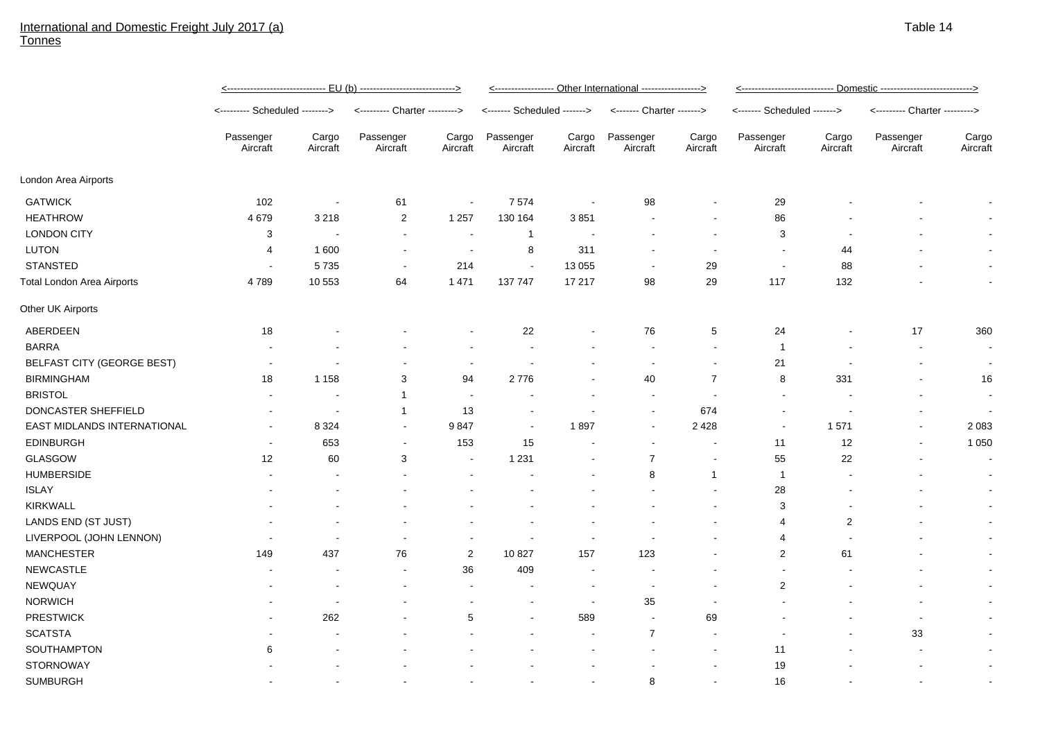## International and Domestic Freight July 2017 (a) **Tonnes**

|                             | <u>&lt;----------------------------- EU (b) ---------------------------&gt;</u> |                          |                               |                          | <------------------- Other International -----------------> |                          |                           |                   | <u>&lt;---------------------------- Domestic ---------------------------&gt;</u> |                   |                               |                   |
|-----------------------------|---------------------------------------------------------------------------------|--------------------------|-------------------------------|--------------------------|-------------------------------------------------------------|--------------------------|---------------------------|-------------------|----------------------------------------------------------------------------------|-------------------|-------------------------------|-------------------|
|                             | <-------- Scheduled -------->                                                   |                          | <--------- Charter ---------> |                          | <------- Scheduled ------->                                 |                          | <------- Charter -------> |                   | <------- Scheduled ------->                                                      |                   | <--------- Charter ---------> |                   |
|                             | Passenger<br>Aircraft                                                           | Cargo<br>Aircraft        | Passenger<br>Aircraft         | Cargo<br>Aircraft        | Passenger<br>Aircraft                                       | Cargo<br>Aircraft        | Passenger<br>Aircraft     | Cargo<br>Aircraft | Passenger<br>Aircraft                                                            | Cargo<br>Aircraft | Passenger<br>Aircraft         | Cargo<br>Aircraft |
| London Area Airports        |                                                                                 |                          |                               |                          |                                                             |                          |                           |                   |                                                                                  |                   |                               |                   |
| <b>GATWICK</b>              | 102                                                                             | $\overline{\phantom{a}}$ | 61                            | $\blacksquare$           | 7574                                                        | $\overline{\phantom{a}}$ | 98                        |                   | 29                                                                               |                   |                               |                   |
| <b>HEATHROW</b>             | 4679                                                                            | 3 2 1 8                  | $\overline{2}$                | 1 2 5 7                  | 130 164                                                     | 3851                     |                           |                   | 86                                                                               |                   |                               |                   |
| <b>LONDON CITY</b>          | 3                                                                               | $\overline{\phantom{a}}$ | $\sim$                        | $\overline{\phantom{a}}$ | $\mathbf{1}$                                                |                          |                           |                   | 3                                                                                |                   |                               |                   |
| <b>LUTON</b>                | 4                                                                               | 1600                     | $\overline{\phantom{a}}$      | $\sim$                   | 8                                                           | 311                      |                           |                   | $\overline{\phantom{a}}$                                                         | 44                |                               |                   |
| <b>STANSTED</b>             | $\sim$                                                                          | 5735                     | $\sim$                        | 214                      | $\sim$                                                      | 13 0 55                  | $\sim$                    | 29                | $\sim$                                                                           | 88                |                               | $\sim$            |
| Total London Area Airports  | 4789                                                                            | 10 553                   | 64                            | 1 4 7 1                  | 137 747                                                     | 17 217                   | 98                        | 29                | 117                                                                              | 132               |                               | $\blacksquare$    |
| Other UK Airports           |                                                                                 |                          |                               |                          |                                                             |                          |                           |                   |                                                                                  |                   |                               |                   |
| ABERDEEN                    | 18                                                                              |                          |                               |                          | 22                                                          |                          | 76                        | $\,$ 5 $\,$       | 24                                                                               |                   | 17                            | 360               |
| <b>BARRA</b>                |                                                                                 |                          |                               |                          | $\sim$                                                      |                          | $\sim$                    | $\sim$            | $\overline{1}$                                                                   |                   | $\sim$                        | $\sim$            |
| BELFAST CITY (GEORGE BEST)  |                                                                                 |                          |                               | $\sim$                   | $\sim$                                                      |                          | $\overline{\phantom{a}}$  |                   | 21                                                                               |                   |                               | $\sim$            |
| <b>BIRMINGHAM</b>           | 18                                                                              | 1 1 5 8                  | 3                             | 94                       | 2776                                                        |                          | 40                        | $\overline{7}$    | 8                                                                                | 331               |                               | 16                |
| <b>BRISTOL</b>              |                                                                                 |                          | $\mathbf{1}$                  | $\sim$                   |                                                             |                          | $\overline{\phantom{a}}$  | $\sim$            | $\blacksquare$                                                                   |                   |                               | $\blacksquare$    |
| DONCASTER SHEFFIELD         |                                                                                 | $\overline{\phantom{a}}$ | $\mathbf{1}$                  | 13                       |                                                             |                          | $\blacksquare$            | 674               |                                                                                  |                   |                               | $\blacksquare$    |
| EAST MIDLANDS INTERNATIONAL | $\overline{\phantom{a}}$                                                        | 8 3 2 4                  | $\blacksquare$                | 9847                     | $\overline{\phantom{a}}$                                    | 1897                     | $\sim$                    | 2 4 2 8           | $\sim$                                                                           | 1571              |                               | 2 0 8 3           |
| <b>EDINBURGH</b>            | $\overline{\phantom{a}}$                                                        | 653                      | $\sim$                        | 153                      | 15                                                          |                          | $\sim$                    |                   | 11                                                                               | 12                |                               | 1 0 5 0           |
| GLASGOW                     | 12                                                                              | 60                       | 3                             | $\overline{\phantom{a}}$ | 1 2 3 1                                                     |                          | $\overline{7}$            |                   | 55                                                                               | 22                |                               | $\blacksquare$    |
| <b>HUMBERSIDE</b>           |                                                                                 |                          |                               |                          |                                                             |                          | 8                         | $\overline{1}$    | $\overline{1}$                                                                   |                   |                               |                   |
| <b>ISLAY</b>                |                                                                                 |                          |                               |                          |                                                             |                          |                           |                   | 28                                                                               |                   |                               |                   |
| <b>KIRKWALL</b>             |                                                                                 |                          |                               |                          |                                                             |                          |                           |                   | 3                                                                                |                   |                               | $\sim$            |
| LANDS END (ST JUST)         |                                                                                 |                          |                               |                          |                                                             |                          |                           |                   | 4                                                                                | $\boldsymbol{2}$  |                               |                   |
| LIVERPOOL (JOHN LENNON)     |                                                                                 |                          |                               |                          |                                                             |                          |                           |                   | 4                                                                                |                   |                               |                   |
| <b>MANCHESTER</b>           | 149                                                                             | 437                      | 76                            | $\overline{2}$           | 10827                                                       | 157                      | 123                       |                   | 2                                                                                | 61                |                               | $\sim$            |
| <b>NEWCASTLE</b>            |                                                                                 |                          | $\sim$                        | 36                       | 409                                                         | $\blacksquare$           |                           |                   |                                                                                  |                   |                               | $\blacksquare$    |
| NEWQUAY                     |                                                                                 |                          |                               | $\sim$                   |                                                             | $\sim$                   | $\sim$                    |                   | 2                                                                                |                   |                               | $\sim$            |
| <b>NORWICH</b>              |                                                                                 |                          |                               |                          |                                                             | $\sim$                   | 35                        |                   |                                                                                  |                   |                               | $\sim$            |
| <b>PRESTWICK</b>            |                                                                                 | 262                      |                               | 5                        |                                                             | 589                      |                           | 69                |                                                                                  |                   |                               |                   |
| <b>SCATSTA</b>              |                                                                                 |                          |                               |                          |                                                             |                          | $\overline{7}$            |                   |                                                                                  |                   | 33                            |                   |
| <b>SOUTHAMPTON</b>          | 6                                                                               |                          |                               |                          |                                                             |                          |                           |                   | 11                                                                               |                   |                               |                   |
| <b>STORNOWAY</b>            |                                                                                 |                          |                               |                          |                                                             |                          |                           |                   | 19                                                                               |                   |                               | $\blacksquare$    |
| <b>SUMBURGH</b>             |                                                                                 |                          |                               |                          |                                                             |                          | 8                         |                   | 16                                                                               |                   |                               |                   |